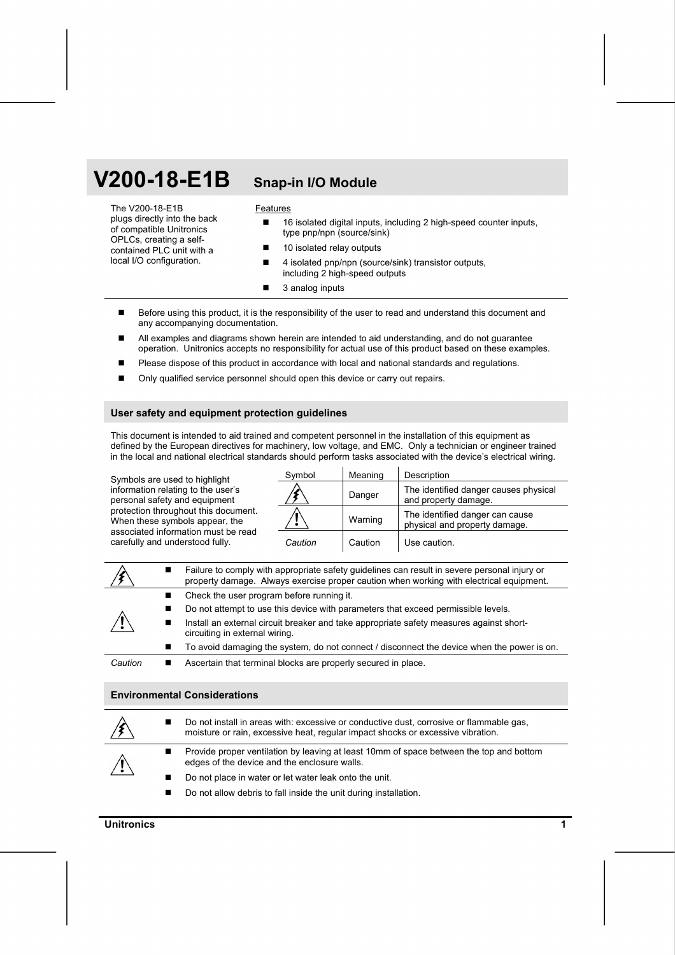# **V200-18-E1B Snap-in I/O Module**

The V200-18-E1B plugs directly into the back of compatible Unitronics OPLCs, creating a selfcontained PLC unit with a local I/O configuration.

#### **Features**

- 16 isolated digital inputs, including 2 high-speed counter inputs, type pnp/npn (source/sink)
- 10 isolated relay outputs
- 4 isolated pnp/npn (source/sink) transistor outputs, including 2 high-speed outputs
- 3 analog inputs
- Before using this product, it is the responsibility of the user to read and understand this document and any accompanying documentation.
- All examples and diagrams shown herein are intended to aid understanding, and do not guarantee operation. Unitronics accepts no responsibility for actual use of this product based on these examples.
- Please dispose of this product in accordance with local and national standards and regulations.
- Only qualified service personnel should open this device or carry out repairs.

#### **User safety and equipment protection guidelines**

This document is intended to aid trained and competent personnel in the installation of this equipment as defined by the European directives for machinery, low voltage, and EMC. Only a technician or engineer trained in the local and national electrical standards should perform tasks associated with the device's electrical wiring.

Symbols are used to highlight information relating to the user's personal safety and equipment protection throughout this document. When these symbols appear, the associated information must be read carefully and understood fully.

| Symbol  | Meaning | Description                                                      |
|---------|---------|------------------------------------------------------------------|
|         | Danger  | The identified danger causes physical<br>and property damage.    |
|         | Warning | The identified danger can cause<br>physical and property damage. |
| Caution | Caution | Use caution.                                                     |

|         | ■ | Failure to comply with appropriate safety guidelines can result in severe personal injury or<br>property damage. Always exercise proper caution when working with electrical equipment. |
|---------|---|-----------------------------------------------------------------------------------------------------------------------------------------------------------------------------------------|
|         |   | Check the user program before running it.                                                                                                                                               |
|         | ■ | Do not attempt to use this device with parameters that exceed permissible levels.                                                                                                       |
|         | ш | Install an external circuit breaker and take appropriate safety measures against short-<br>circuiting in external wiring.                                                               |
|         |   | To avoid damaging the system, do not connect / disconnect the device when the power is on.                                                                                              |
| Caution |   | Ascertain that terminal blocks are properly secured in place.                                                                                                                           |

#### **Environmental Considerations**

|                     | Do not install in areas with: excessive or conductive dust, corrosive or flammable gas,<br>moisture or rain, excessive heat, regular impact shocks or excessive vibration. |
|---------------------|----------------------------------------------------------------------------------------------------------------------------------------------------------------------------|
| $\sqrt{\mathbf{r}}$ | Provide proper ventilation by leaving at least 10mm of space between the top and bottom<br>edges of the device and the enclosure walls.                                    |
|                     | Do not place in water or let water leak onto the unit.                                                                                                                     |
|                     | Do not allow debris to fall inside the unit during installation.                                                                                                           |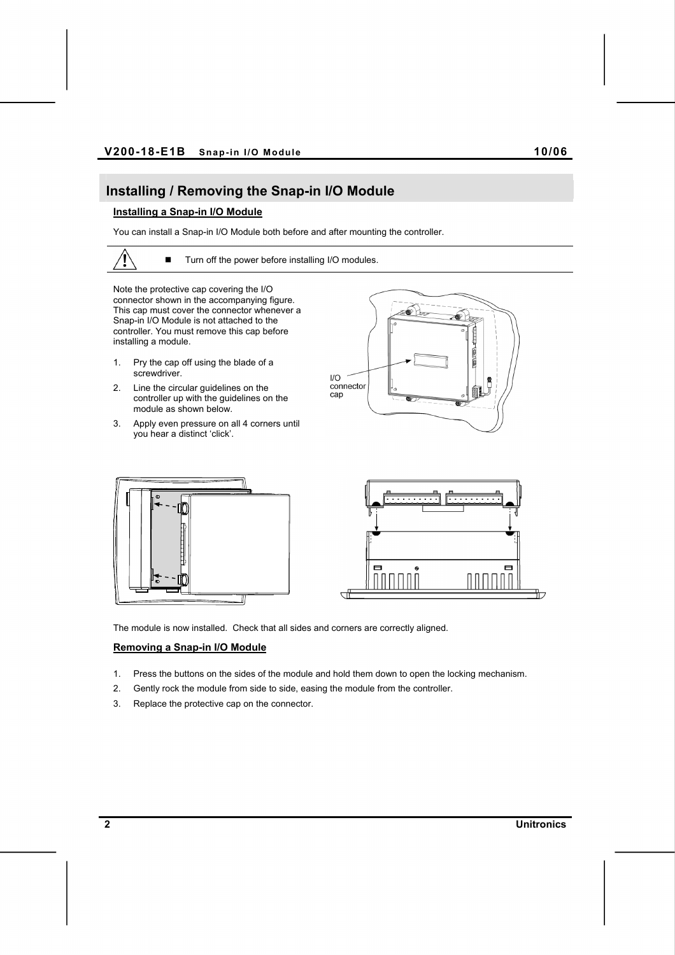## **Installing / Removing the Snap-in I/O Module**

### **Installing a Snap-in I/O Module**

You can install a Snap-in I/O Module both before and after mounting the controller.

■ Turn off the power before installing I/O modules.

Note the protective cap covering the I/O connector shown in the accompanying figure. This cap must cover the connector whenever a Snap-in I/O Module is not attached to the controller. You must remove this cap before installing a module.

- 1. Pry the cap off using the blade of a screwdriver.
- 2. Line the circular guidelines on the controller up with the guidelines on the module as shown below.
- 3. Apply even pressure on all 4 corners until you hear a distinct 'click'.







The module is now installed. Check that all sides and corners are correctly aligned.

#### **Removing a Snap-in I/O Module**

- 1. Press the buttons on the sides of the module and hold them down to open the locking mechanism.
- 2. Gently rock the module from side to side, easing the module from the controller.
- 3. Replace the protective cap on the connector.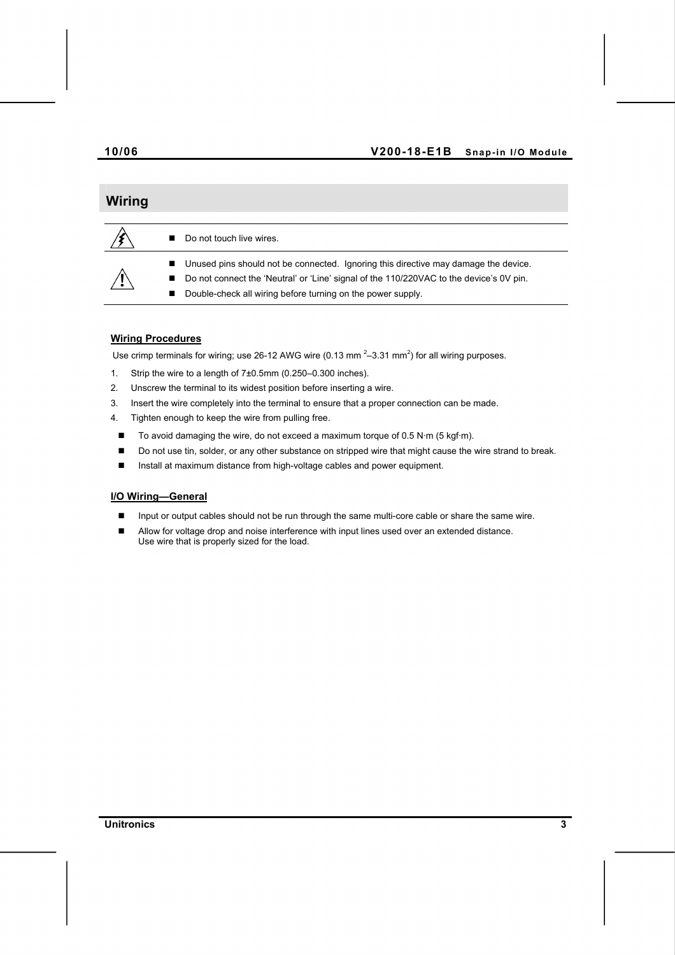### **10/06 V200-18-E1B Snap-in I/O Module**

# **Wiring**  Do not touch live wires. ■ Unused pins should not be connected. Ignoring this directive may damage the device. ■ Do not connect the 'Neutral' or 'Line' signal of the 110/220VAC to the device's 0V pin.

Double-check all wiring before turning on the power supply.

# **Wiring Procedures**

Use crimp terminals for wiring; use 26-12 AWG wire (0.13 mm<sup>2</sup>-3.31 mm<sup>2</sup>) for all wiring purposes.

- 1. Strip the wire to a length of 7±0.5mm (0.250–0.300 inches).
- 2. Unscrew the terminal to its widest position before inserting a wire.
- 3. Insert the wire completely into the terminal to ensure that a proper connection can be made.
- 4. Tighten enough to keep the wire from pulling free.
- To avoid damaging the wire, do not exceed a maximum torque of 0.5 N·m (5 kgf·m).
- Do not use tin, solder, or any other substance on stripped wire that might cause the wire strand to break.
- Install at maximum distance from high-voltage cables and power equipment.

#### **I/O Wiring—General**

- Input or output cables should not be run through the same multi-core cable or share the same wire.
- **I** Allow for voltage drop and noise interference with input lines used over an extended distance. Use wire that is properly sized for the load.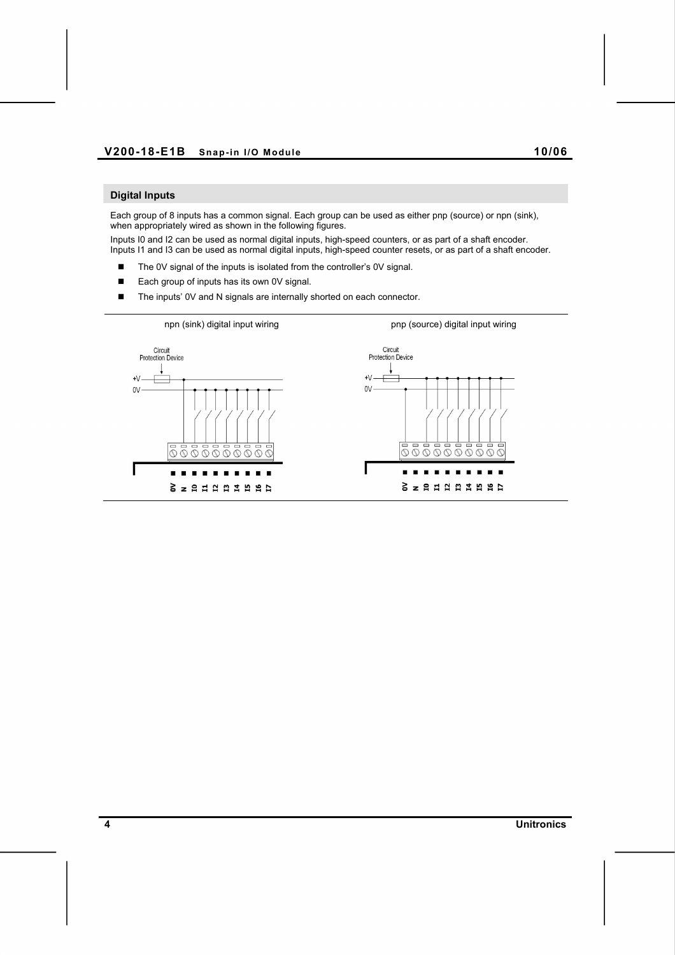### **Digital Inputs**

Each group of 8 inputs has a common signal. Each group can be used as either pnp (source) or npn (sink), when appropriately wired as shown in the following figures.

Inputs I0 and I2 can be used as normal digital inputs, high-speed counters, or as part of a shaft encoder. Inputs I1 and I3 can be used as normal digital inputs, high-speed counter resets, or as part of a shaft encoder.

- The 0V signal of the inputs is isolated from the controller's 0V signal.
- Each group of inputs has its own 0V signal.
- The inputs' 0V and N signals are internally shorted on each connector.

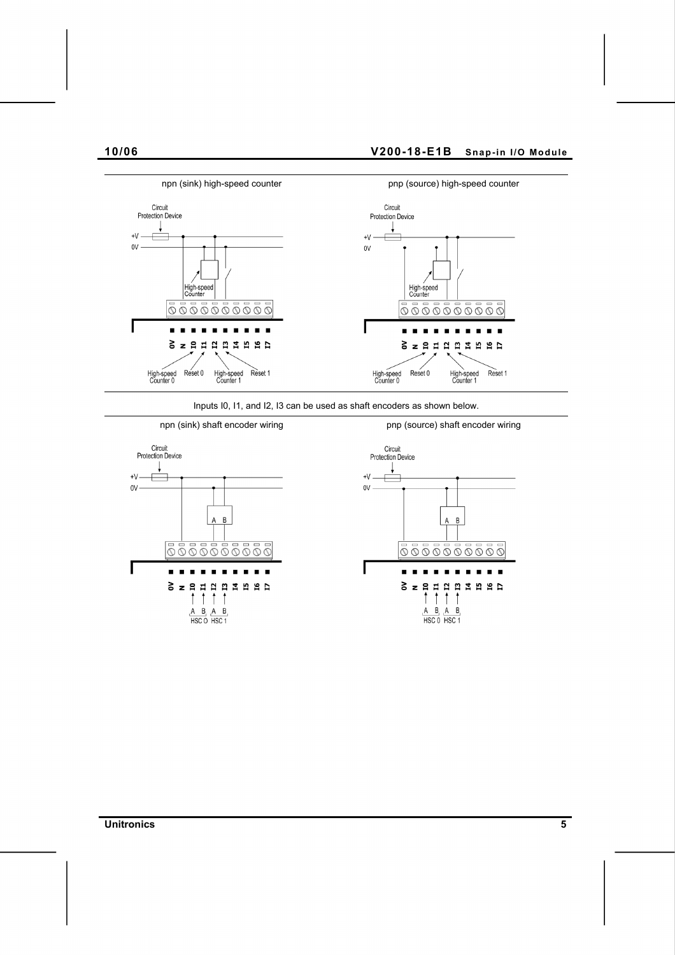

Inputs I0, I1, and I2, I3 can be used as shaft encoders as shown below.



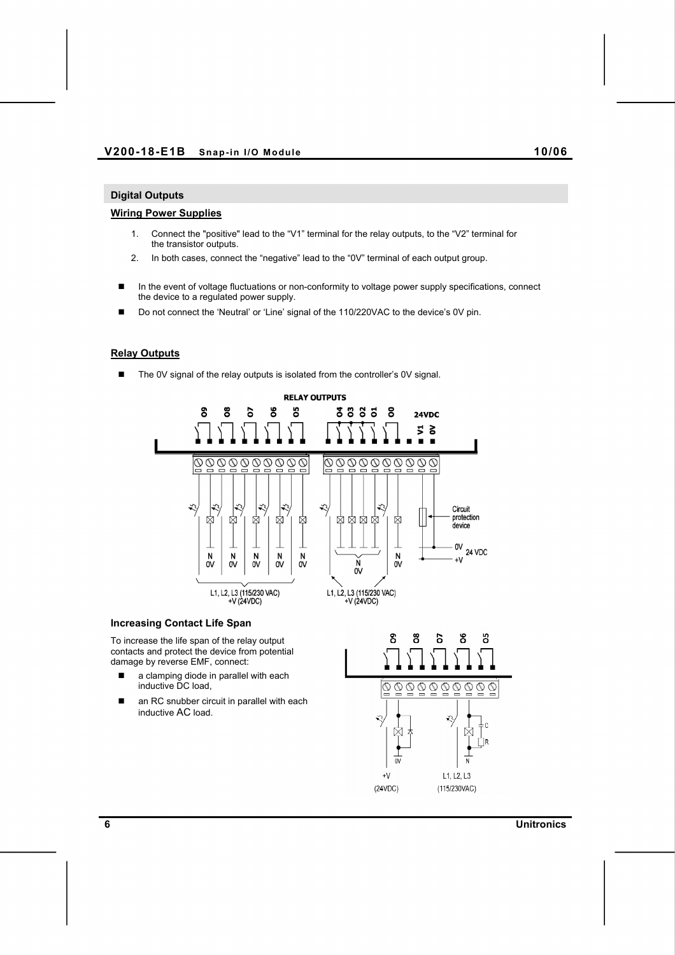### **Digital Outputs**

#### **Wiring Power Supplies**

- 1. Connect the "positive" lead to the "V1" terminal for the relay outputs, to the "V2" terminal for the transistor outputs.
- 2. In both cases, connect the "negative" lead to the "0V" terminal of each output group.
- **In the event of voltage fluctuations or non-conformity to voltage power supply specifications, connect** the device to a regulated power supply.
- Do not connect the 'Neutral' or 'Line' signal of the 110/220VAC to the device's 0V pin.

#### **Relay Outputs**

■ The 0V signal of the relay outputs is isolated from the controller's 0V signal.



#### **Increasing Contact Life Span**

To increase the life span of the relay output contacts and protect the device from potential damage by reverse EMF, connect:

- a clamping diode in parallel with each inductive DC load,
- an RC snubber circuit in parallel with each inductive AC load.

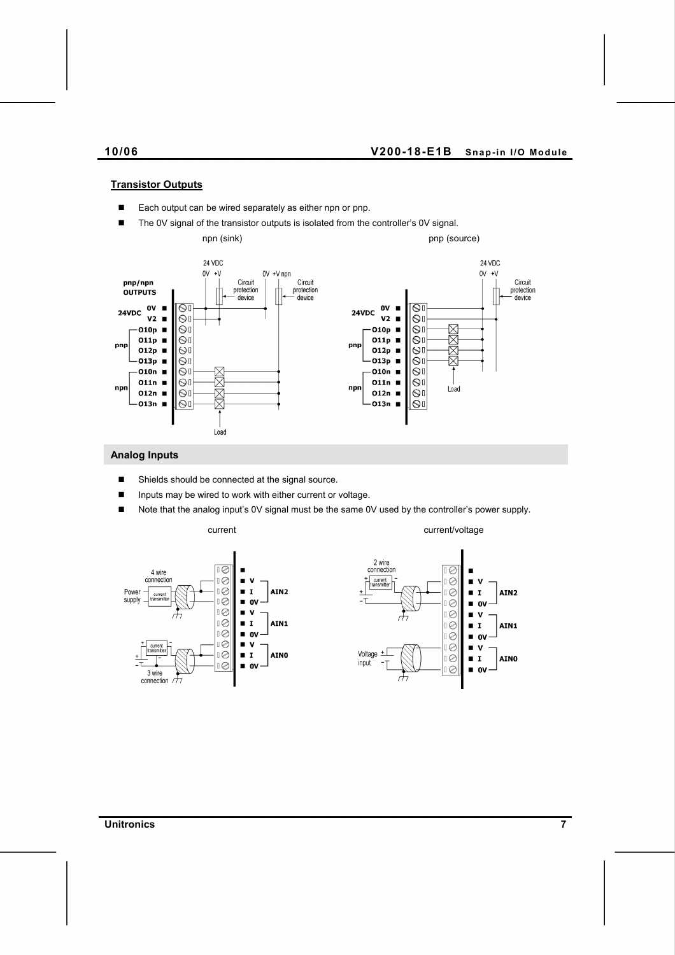## **Transistor Outputs**

- Each output can be wired separately as either npn or pnp.
- The 0V signal of the transistor outputs is isolated from the controller's 0V signal. npn (sink) pnp (source) 24 VDC 24 VDC  $0V + V$ 0V +V npn  $0V + V$ Circuit<br>protection Circuit<br>protection pnp/npn Circuit protection **OUTPUTS** device device device OV  $\overline{\mathbb{S}^{\mathbb{I}}}$ 0V  $\overline{\mathsf{S}^{\mathfrak{l}}}$ 24VDC 24VDC  $V<sub>2</sub>$  $\bigcirc$  $V<sub>2</sub>$  $\overline{S}$  $\blacksquare$ 区区 Ōг O10p O10p  $\blacksquare$  $\blacksquare$  $\circ$ O11p $\blacksquare$  $\odot$ 011p х  $\Theta$ pnp pnp XX 012p  $\blacksquare$  $\overline{\mathbb{S}}$ 012p  $\Theta$ <sup>[</sup> × .<br>013p ■  $\bigcirc$ O13p  $\Theta$ <sup>[</sup> ×  $\circ$  $\Theta$ <sup>[</sup> O10n  $\blacksquare$  $010n$  $\overline{\phantom{a}}$ 岗 O11n  $\blacksquare$  $|_{\bigodot}$ 011n  $\overline{S}$  $\blacksquare$ npr npr Load R O12n  $\blacksquare$  $| \odot$ i  $012n$  $| \Theta$  $-013n$  $|\circ|$  $-013n$ х ∥ତା Load

#### **Analog Inputs**

- Shields should be connected at the signal source.
- Inputs may be wired to work with either current or voltage.
- Note that the analog input's 0V signal must be the same 0V used by the controller's power supply.



current current current current current current current current voltage



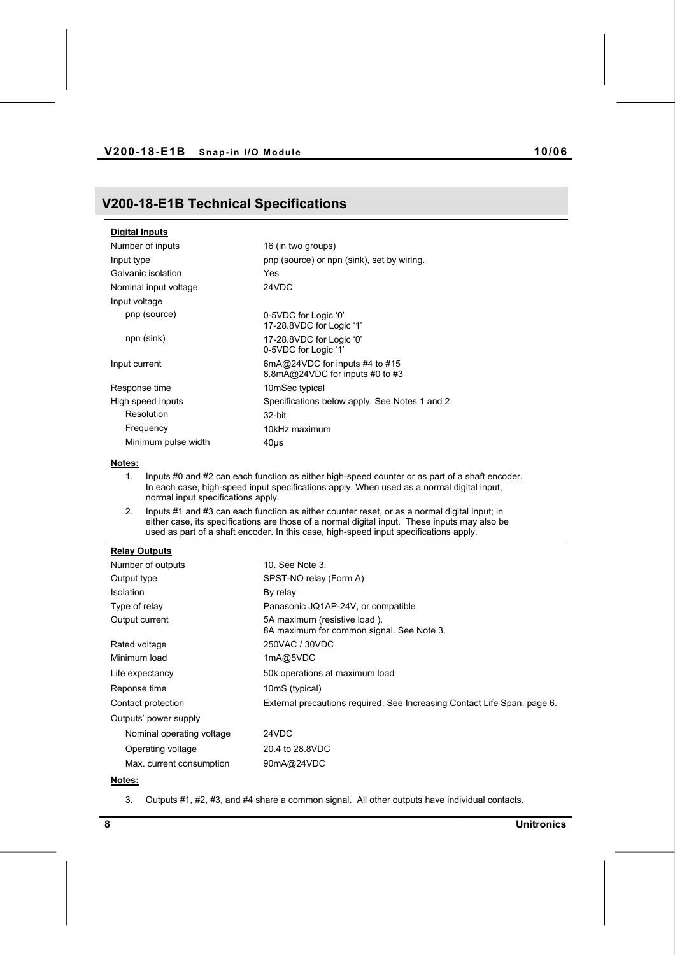## **V200-18-E1B Technical Specifications**

| <b>Digital Inputs</b> |                                                                   |
|-----------------------|-------------------------------------------------------------------|
| Number of inputs      | 16 (in two groups)                                                |
| Input type            | pnp (source) or npn (sink), set by wiring.                        |
| Galvanic isolation    | Yes                                                               |
| Nominal input voltage | 24VDC                                                             |
| Input voltage         |                                                                   |
| pnp (source)          | 0-5VDC for Logic '0'<br>17-28.8VDC for Logic '1'                  |
| npn (sink)            | 17-28.8VDC for Logic '0'<br>0-5VDC for Logic '1'                  |
| Input current         | 6mA@24VDC for inputs #4 to #15<br>8.8mA@24VDC for inputs #0 to #3 |
| Response time         | 10mSec typical                                                    |
| High speed inputs     | Specifications below apply. See Notes 1 and 2.                    |
| Resolution            | 32-bit                                                            |
| Frequency             | 10kHz maximum                                                     |
| Minimum pulse width   | 40us                                                              |

### **Notes:**

- 1. Inputs #0 and #2 can each function as either high-speed counter or as part of a shaft encoder. In each case, high-speed input specifications apply. When used as a normal digital input, normal input specifications apply.
- 2. Inputs #1 and #3 can each function as either counter reset, or as a normal digital input; in either case, its specifications are those of a normal digital input. These inputs may also be used as part of a shaft encoder. In this case, high-speed input specifications apply.

#### **Relay Outputs**

| Number of outputs         | 10. See Note 3.                                                           |
|---------------------------|---------------------------------------------------------------------------|
| Output type               | SPST-NO relay (Form A)                                                    |
| Isolation                 | By relay                                                                  |
| Type of relay             | Panasonic JQ1AP-24V, or compatible                                        |
| Output current            | 5A maximum (resistive load).<br>8A maximum for common signal. See Note 3. |
| Rated voltage             | 250VAC / 30VDC                                                            |
| Minimum load              | 1mA@5VDC                                                                  |
| Life expectancy           | 50k operations at maximum load                                            |
| Reponse time              | 10mS (typical)                                                            |
| Contact protection        | External precautions required. See Increasing Contact Life Span, page 6.  |
| Outputs' power supply     |                                                                           |
| Nominal operating voltage | 24VDC                                                                     |
| Operating voltage         | 20.4 to 28.8VDC                                                           |
| Max. current consumption  | 90mA@24VDC                                                                |

#### **Notes:**

3. Outputs #1, #2, #3, and #4 share a common signal. All other outputs have individual contacts.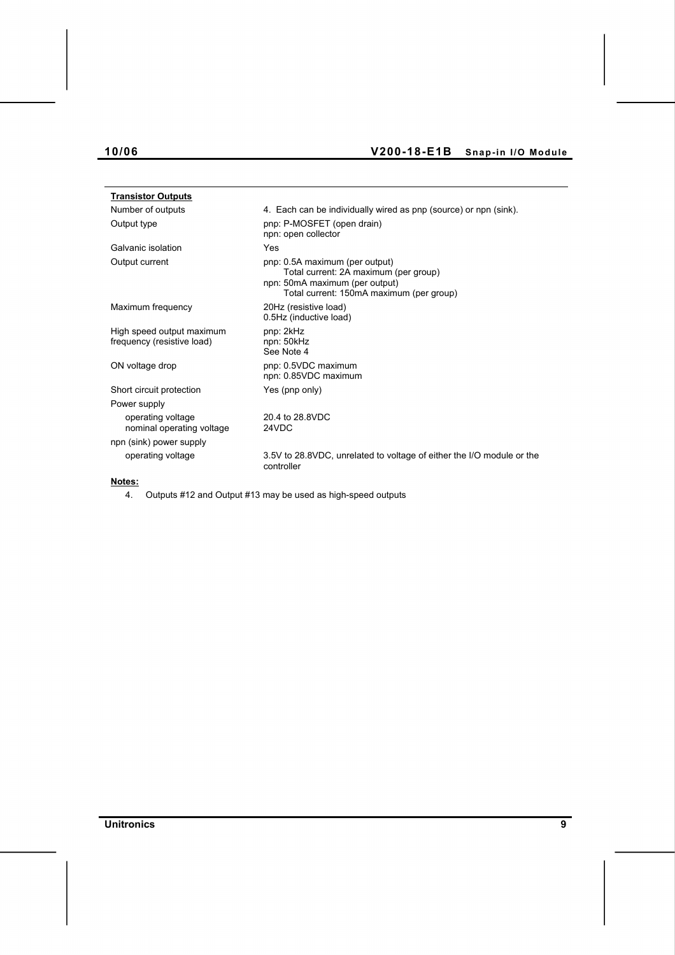# **10/06 V200-18-E1B Snap-in I/O Module**

| <b>Transistor Outputs</b>                               |                                                                                                                                                       |
|---------------------------------------------------------|-------------------------------------------------------------------------------------------------------------------------------------------------------|
| Number of outputs                                       | 4. Each can be individually wired as pnp (source) or npn (sink).                                                                                      |
| Output type                                             | pnp: P-MOSFET (open drain)<br>npn: open collector                                                                                                     |
| Galvanic isolation                                      | Yes                                                                                                                                                   |
| Output current                                          | pnp: 0.5A maximum (per output)<br>Total current: 2A maximum (per group)<br>npn: 50mA maximum (per output)<br>Total current: 150mA maximum (per group) |
| Maximum frequency                                       | 20Hz (resistive load)<br>0.5Hz (inductive load)                                                                                                       |
| High speed output maximum<br>frequency (resistive load) | pnp: 2kHz<br>npn: 50kHz<br>See Note 4                                                                                                                 |
| ON voltage drop                                         | pnp: 0.5VDC maximum<br>npn: 0.85VDC maximum                                                                                                           |
| Short circuit protection                                | Yes (pnp only)                                                                                                                                        |
| Power supply                                            |                                                                                                                                                       |
| operating voltage<br>nominal operating voltage          | 20.4 to 28.8VDC<br>24VDC                                                                                                                              |
| npn (sink) power supply                                 |                                                                                                                                                       |
| operating voltage                                       | 3.5V to 28.8VDC, unrelated to voltage of either the I/O module or the<br>controller                                                                   |
| Notes:                                                  |                                                                                                                                                       |

4. Outputs #12 and Output #13 may be used as high-speed outputs